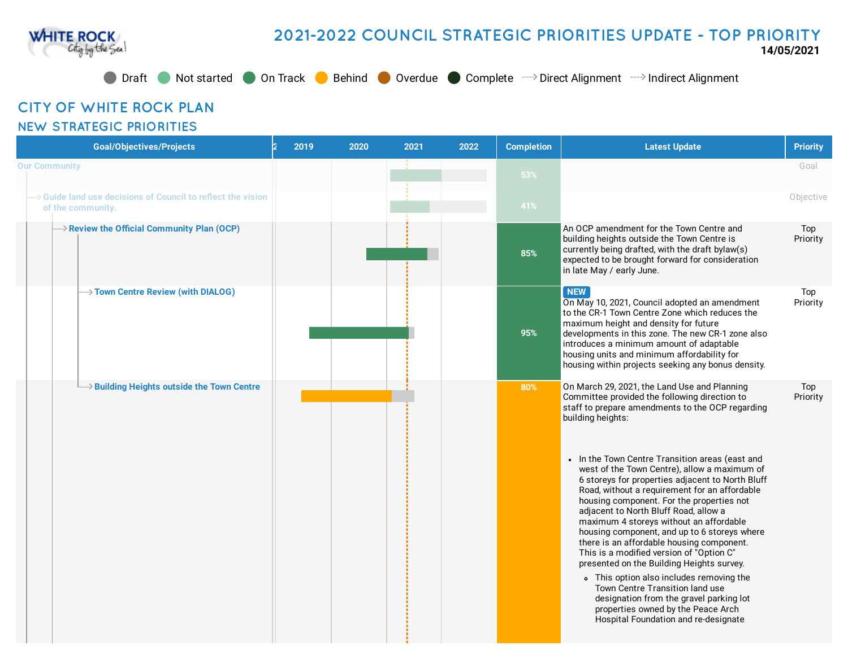

## **2021-2022 COUNCIL STRATEGIC PRIORITIES UPDATE - TOP PRIORITY**

**14/05/2021**

● Draft ● Not started ● On Track ● Behind ● Overdue ● Complete → Direct Alignment → Indirect Alignment

## **CITY OF WHITE ROCK PLAN**

## **NEW STRATEGIC PRIORITIES**

| <b>Goal/Objectives/Projects</b>                                                              | 2019 | 2020 | 2021 | 2022 | <b>Completion</b> | <b>Latest Update</b>                                                                                                                                                                                                                                                                                                                                                                                                                                                                                                                                                                                                                                                                                                                                                                                                                                                                                          | <b>Priority</b> |
|----------------------------------------------------------------------------------------------|------|------|------|------|-------------------|---------------------------------------------------------------------------------------------------------------------------------------------------------------------------------------------------------------------------------------------------------------------------------------------------------------------------------------------------------------------------------------------------------------------------------------------------------------------------------------------------------------------------------------------------------------------------------------------------------------------------------------------------------------------------------------------------------------------------------------------------------------------------------------------------------------------------------------------------------------------------------------------------------------|-----------------|
| <b>Our Community</b>                                                                         |      |      |      |      | 53%               |                                                                                                                                                                                                                                                                                                                                                                                                                                                                                                                                                                                                                                                                                                                                                                                                                                                                                                               | Goal            |
| $\rightarrow$ Guide land use decisions of Council to reflect the vision<br>of the community. |      |      |      |      | 41%               |                                                                                                                                                                                                                                                                                                                                                                                                                                                                                                                                                                                                                                                                                                                                                                                                                                                                                                               | Objective       |
| $\rightarrow$ Review the Official Community Plan (OCP)                                       |      |      |      |      | 85%               | An OCP amendment for the Town Centre and<br>building heights outside the Town Centre is<br>currently being drafted, with the draft bylaw(s)<br>expected to be brought forward for consideration<br>in late May / early June.                                                                                                                                                                                                                                                                                                                                                                                                                                                                                                                                                                                                                                                                                  | Top<br>Priority |
| $\rightarrow$ Town Centre Review (with DIALOG)                                               |      |      |      |      | 95%               | <b>NEW</b><br>On May 10, 2021, Council adopted an amendment<br>to the CR-1 Town Centre Zone which reduces the<br>maximum height and density for future<br>developments in this zone. The new CR-1 zone also<br>introduces a minimum amount of adaptable<br>housing units and minimum affordability for<br>housing within projects seeking any bonus density.                                                                                                                                                                                                                                                                                                                                                                                                                                                                                                                                                  | Top<br>Priority |
| $\rightarrow$ Building Heights outside the Town Centre                                       |      |      |      |      | 80%               | On March 29, 2021, the Land Use and Planning<br>Committee provided the following direction to<br>staff to prepare amendments to the OCP regarding<br>building heights:<br>• In the Town Centre Transition areas (east and<br>west of the Town Centre), allow a maximum of<br>6 storeys for properties adjacent to North Bluff<br>Road, without a requirement for an affordable<br>housing component. For the properties not<br>adjacent to North Bluff Road, allow a<br>maximum 4 storeys without an affordable<br>housing component, and up to 6 storeys where<br>there is an affordable housing component.<br>This is a modified version of "Option C"<br>presented on the Building Heights survey.<br>• This option also includes removing the<br>Town Centre Transition land use<br>designation from the gravel parking lot<br>properties owned by the Peace Arch<br>Hospital Foundation and re-designate | Top<br>Priority |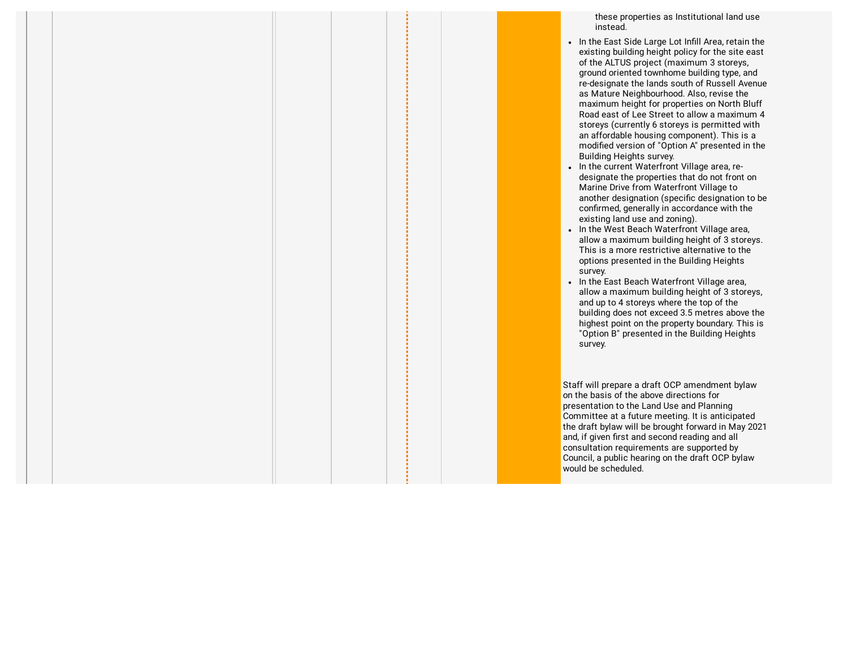these properties as Institutional land use instead.

- In the East Side Large Lot Infill Area, retain the existing building height policy for the site east of the ALTUS project (maximum 3 storeys, ground oriented townhome building type, and re-designate the lands south of Russell Avenue as Mature Neighbourhood. Also, revise the maximum height for properties on North Bluff Road east of Lee Street to allow a maximum 4 storeys (currently 6 storeys is permitted with an affordable housing component). This is a modified version of "Option A" presented in the Building Heights survey.
- In the current Waterfront Village area, redesignate the properties that do not front on Marine Drive from Waterfront Village to another designation (specific designation to be confirmed, generally in accordance with the existing land use and zoning).
- In the West Beach Waterfront Village area, allow a maximum building height of 3 storeys. This is a more restrictive alternative to the options presented in the Building Heights survey.
- In the East Beach Waterfront Village area, allow a maximum building height of 3 storeys, and up to 4 storeys where the top of the building does not exceed 3.5 metres above the highest point on the property boundary. This is "Option B" presented in the Building Heights survey.

Staff will prepare a draft OCP amendment bylaw on the basis of the above directions for presentation to the Land Use and Planning Committee at a future meeting. It is anticipated the draft bylaw will be brought forward in May 2021 and, if given first and second reading and all consultation requirements are supported by Council, a public hearing on the draft OCP bylaw would be scheduled.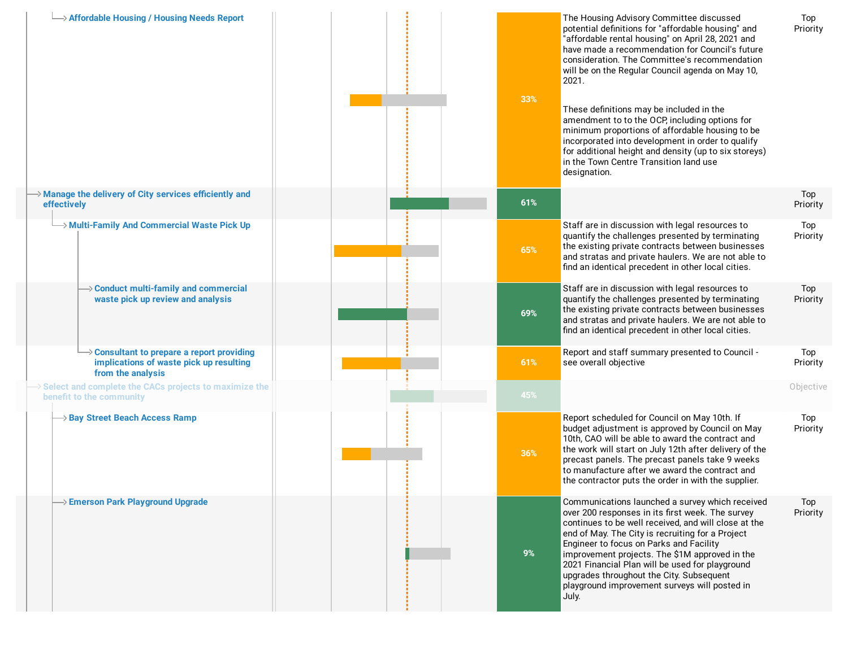| → Affordable Housing / Housing Needs Report                                                                            | 33% | The Housing Advisory Committee discussed<br>potential definitions for "affordable housing" and<br>"affordable rental housing" on April 28, 2021 and<br>have made a recommendation for Council's future<br>consideration. The Committee's recommendation<br>will be on the Regular Council agenda on May 10,<br>2021.<br>These definitions may be included in the<br>amendment to to the OCP, including options for<br>minimum proportions of affordable housing to be<br>incorporated into development in order to qualify<br>for additional height and density (up to six storeys)<br>in the Town Centre Transition land use<br>designation. | Top<br>Priority |
|------------------------------------------------------------------------------------------------------------------------|-----|-----------------------------------------------------------------------------------------------------------------------------------------------------------------------------------------------------------------------------------------------------------------------------------------------------------------------------------------------------------------------------------------------------------------------------------------------------------------------------------------------------------------------------------------------------------------------------------------------------------------------------------------------|-----------------|
| > Manage the delivery of City services efficiently and<br>effectively                                                  | 61% |                                                                                                                                                                                                                                                                                                                                                                                                                                                                                                                                                                                                                                               | Top<br>Priority |
| Aulti-Family And Commercial Waste Pick Up                                                                              | 65% | Staff are in discussion with legal resources to<br>quantify the challenges presented by terminating<br>the existing private contracts between businesses<br>and stratas and private haulers. We are not able to<br>find an identical precedent in other local cities.                                                                                                                                                                                                                                                                                                                                                                         | Top<br>Priority |
| → Conduct multi-family and commercial<br>waste pick up review and analysis                                             | 69% | Staff are in discussion with legal resources to<br>quantify the challenges presented by terminating<br>the existing private contracts between businesses<br>and stratas and private haulers. We are not able to<br>find an identical precedent in other local cities.                                                                                                                                                                                                                                                                                                                                                                         | Top<br>Priority |
| $\rightarrow$ Consultant to prepare a report providing<br>implications of waste pick up resulting<br>from the analysis | 61% | Report and staff summary presented to Council -<br>see overall objective                                                                                                                                                                                                                                                                                                                                                                                                                                                                                                                                                                      | Top<br>Priority |
| Select and complete the CACs projects to maximize the<br>benefit to the community                                      | 45% |                                                                                                                                                                                                                                                                                                                                                                                                                                                                                                                                                                                                                                               | Objective       |
| → Bay Street Beach Access Ramp                                                                                         | 36% | Report scheduled for Council on May 10th. If<br>budget adjustment is approved by Council on May<br>10th, CAO will be able to award the contract and<br>the work will start on July 12th after delivery of the<br>precast panels. The precast panels take 9 weeks<br>to manufacture after we award the contract and<br>the contractor puts the order in with the supplier.                                                                                                                                                                                                                                                                     | Top<br>Priority |
| → Emerson Park Playground Upgrade                                                                                      | 9%  | Communications launched a survey which received<br>over 200 responses in its first week. The survey<br>continues to be well received, and will close at the<br>end of May. The City is recruiting for a Project<br>Engineer to focus on Parks and Facility<br>improvement projects. The \$1M approved in the<br>2021 Financial Plan will be used for playground<br>upgrades throughout the City. Subsequent<br>playground improvement surveys will posted in<br>July.                                                                                                                                                                         | Top<br>Priority |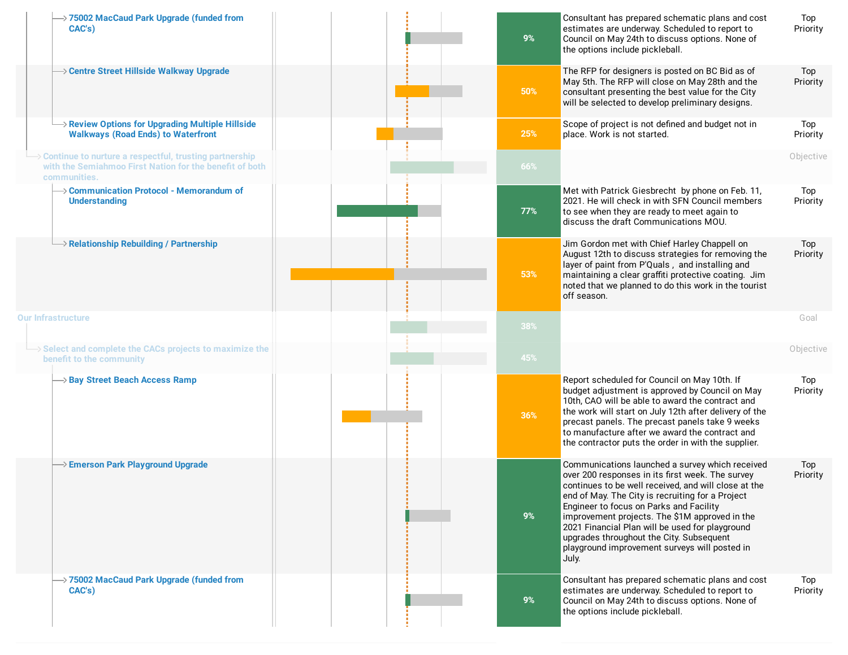| >75002 MacCaud Park Upgrade (funded from<br>CAC's)                                                                                | 9%  | Consultant has prepared schematic plans and cost<br>estimates are underway. Scheduled to report to<br>Council on May 24th to discuss options. None of<br>the options include pickleball.                                                                                                                                                                                                                                                                              | Top<br>Priority |
|-----------------------------------------------------------------------------------------------------------------------------------|-----|-----------------------------------------------------------------------------------------------------------------------------------------------------------------------------------------------------------------------------------------------------------------------------------------------------------------------------------------------------------------------------------------------------------------------------------------------------------------------|-----------------|
| → Centre Street Hillside Walkway Upgrade                                                                                          | 50% | The RFP for designers is posted on BC Bid as of<br>May 5th. The RFP will close on May 28th and the<br>consultant presenting the best value for the City<br>will be selected to develop preliminary designs.                                                                                                                                                                                                                                                           | Top<br>Priority |
| $\rightarrow$ Review Options for Upgrading Multiple Hillside<br><b>Walkways (Road Ends) to Waterfront</b>                         | 25% | Scope of project is not defined and budget not in<br>place. Work is not started.                                                                                                                                                                                                                                                                                                                                                                                      | Top<br>Priority |
| Continue to nurture a respectful, trusting partnership<br>with the Semiahmoo First Nation for the benefit of both<br>communities. | 66% |                                                                                                                                                                                                                                                                                                                                                                                                                                                                       | Objective       |
| → Communication Protocol - Memorandum of<br><b>Understanding</b>                                                                  | 77% | Met with Patrick Giesbrecht by phone on Feb. 11,<br>2021. He will check in with SFN Council members<br>to see when they are ready to meet again to<br>discuss the draft Communications MOU.                                                                                                                                                                                                                                                                           | Top<br>Priority |
| $\rightarrow$ Relationship Rebuilding / Partnership                                                                               | 53% | Jim Gordon met with Chief Harley Chappell on<br>August 12th to discuss strategies for removing the<br>layer of paint from P'Quals, and installing and<br>maintaining a clear graffiti protective coating. Jim<br>noted that we planned to do this work in the tourist<br>off season.                                                                                                                                                                                  | Top<br>Priority |
| <b>Our Infrastructure</b>                                                                                                         | 38% |                                                                                                                                                                                                                                                                                                                                                                                                                                                                       | Goal            |
| Select and complete the CACs projects to maximize the<br>benefit to the community                                                 | 45% |                                                                                                                                                                                                                                                                                                                                                                                                                                                                       | Objective       |
| → Bay Street Beach Access Ramp                                                                                                    | 36% | Report scheduled for Council on May 10th. If<br>budget adjustment is approved by Council on May<br>10th, CAO will be able to award the contract and<br>the work will start on July 12th after delivery of the<br>precast panels. The precast panels take 9 weeks<br>to manufacture after we award the contract and<br>the contractor puts the order in with the supplier.                                                                                             | Top<br>Priority |
| > Emerson Park Playground Upgrade                                                                                                 | 9%  | Communications launched a survey which received<br>over 200 responses in its first week. The survey<br>continues to be well received, and will close at the<br>end of May. The City is recruiting for a Project<br>Engineer to focus on Parks and Facility<br>improvement projects. The \$1M approved in the<br>2021 Financial Plan will be used for playground<br>upgrades throughout the City. Subsequent<br>playground improvement surveys will posted in<br>July. | Top<br>Priority |
| → 75002 MacCaud Park Upgrade (funded from<br>CAC's)                                                                               | 9%  | Consultant has prepared schematic plans and cost<br>estimates are underway. Scheduled to report to<br>Council on May 24th to discuss options. None of<br>the options include pickleball.                                                                                                                                                                                                                                                                              | Top<br>Priority |